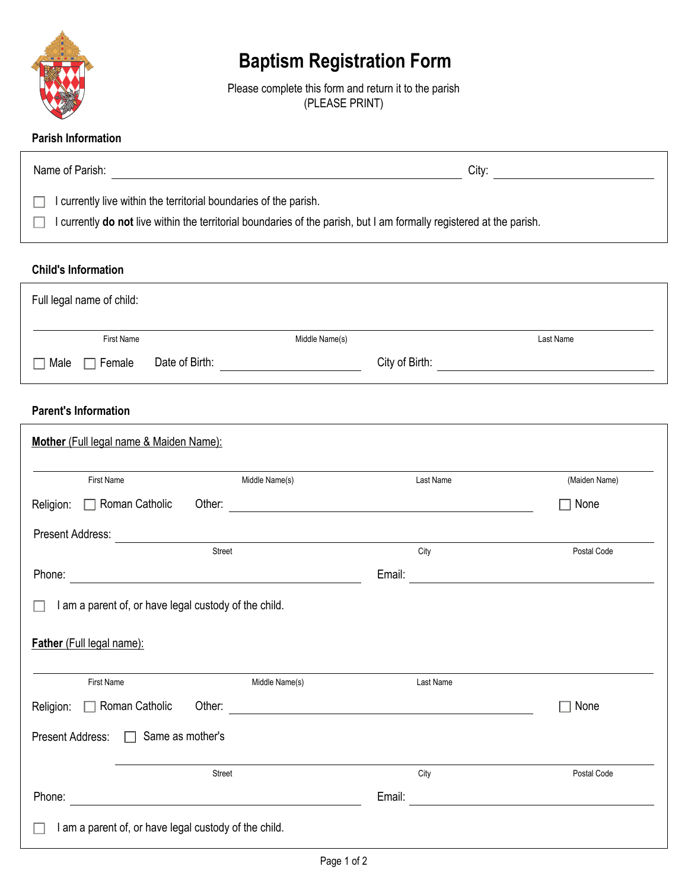

# **Baptism Registration Form**

Please complete this form and return it to the parish (PLEASE PRINT)

## **Parish Information**

| Name of Parish:                                                                                                                                                                           | City: |
|-------------------------------------------------------------------------------------------------------------------------------------------------------------------------------------------|-------|
| I currently live within the territorial boundaries of the parish.<br>I currently do not live within the territorial boundaries of the parish, but I am formally registered at the parish. |       |

#### **Child's Information**

| Full legal name of child: |                |                |                |           |
|---------------------------|----------------|----------------|----------------|-----------|
| First Name                |                | Middle Name(s) |                | Last Name |
| $\Box$ Female<br>Male     | Date of Birth: |                | City of Birth: |           |

# **Parent's Information**

| <b>First Name</b>                                     | Middle Name(s)           | Last Name | (Maiden Name)<br>None                                 |  |
|-------------------------------------------------------|--------------------------|-----------|-------------------------------------------------------|--|
| $\Box$ Roman Catholic<br>Religion:                    | Other:                   |           |                                                       |  |
| Present Address:                                      |                          |           |                                                       |  |
|                                                       | Street                   | City      | Postal Code                                           |  |
|                                                       |                          | Email:    | <u> 1989 - Johann Stoff, fransk politik (d. 1989)</u> |  |
| I am a parent of, or have legal custody of the child. |                          |           |                                                       |  |
| Father (Full legal name):                             |                          | Last Name |                                                       |  |
| First Name<br>$\Box$ Roman Catholic<br>Religion:      | Middle Name(s)<br>Other: |           | None                                                  |  |
| Same as mother's<br>Present Address: □                |                          |           |                                                       |  |
|                                                       | Street                   | City      | Postal Code                                           |  |